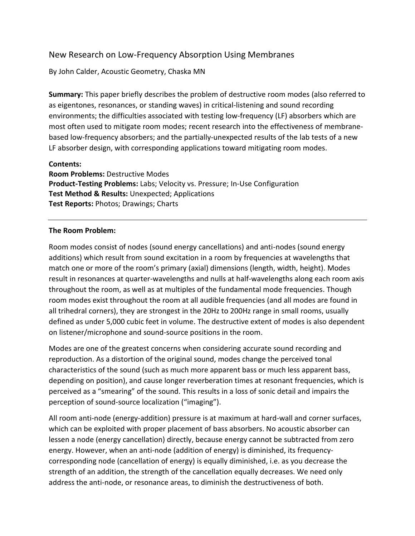# New Research on Low-Frequency Absorption Using Membranes

By John Calder, Acoustic Geometry, Chaska MN

**Summary:** This paper briefly describes the problem of destructive room modes (also referred to as eigentones, resonances, or standing waves) in critical-listening and sound recording environments; the difficulties associated with testing low-frequency (LF) absorbers which are most often used to mitigate room modes; recent research into the effectiveness of membranebased low-frequency absorbers; and the partially-unexpected results of the lab tests of a new LF absorber design, with corresponding applications toward mitigating room modes.

### **Contents:**

**Room Problems:** Destructive Modes **Product-Testing Problems:** Labs; Velocity vs. Pressure; In-Use Configuration **Test Method & Results:** Unexpected; Applications **Test Reports:** Photos; Drawings; Charts

# **The Room Problem:**

Room modes consist of nodes (sound energy cancellations) and anti-nodes (sound energy additions) which result from sound excitation in a room by frequencies at wavelengths that match one or more of the room's primary (axial) dimensions (length, width, height). Modes result in resonances at quarter-wavelengths and nulls at half-wavelengths along each room axis throughout the room, as well as at multiples of the fundamental mode frequencies. Though room modes exist throughout the room at all audible frequencies (and all modes are found in all trihedral corners), they are strongest in the 20Hz to 200Hz range in small rooms, usually defined as under 5,000 cubic feet in volume. The destructive extent of modes is also dependent on listener/microphone and sound-source positions in the room.

Modes are one of the greatest concerns when considering accurate sound recording and reproduction. As a distortion of the original sound, modes change the perceived tonal characteristics of the sound (such as much more apparent bass or much less apparent bass, depending on position), and cause longer reverberation times at resonant frequencies, which is perceived as a "smearing" of the sound. This results in a loss of sonic detail and impairs the perception of sound-source localization ("imaging").

All room anti-node (energy-addition) pressure is at maximum at hard-wall and corner surfaces, which can be exploited with proper placement of bass absorbers. No acoustic absorber can lessen a node (energy cancellation) directly, because energy cannot be subtracted from zero energy. However, when an anti-node (addition of energy) is diminished, its frequencycorresponding node (cancellation of energy) is equally diminished, i.e. as you decrease the strength of an addition, the strength of the cancellation equally decreases. We need only address the anti-node, or resonance areas, to diminish the destructiveness of both.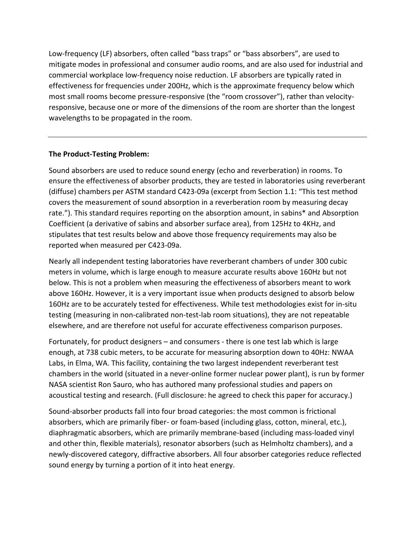Low-frequency (LF) absorbers, often called "bass traps" or "bass absorbers", are used to mitigate modes in professional and consumer audio rooms, and are also used for industrial and commercial workplace low-frequency noise reduction. LF absorbers are typically rated in effectiveness for frequencies under 200Hz, which is the approximate frequency below which most small rooms become pressure-responsive (the "room crossover"), rather than velocityresponsive, because one or more of the dimensions of the room are shorter than the longest wavelengths to be propagated in the room.

# **The Product-Testing Problem:**

Sound absorbers are used to reduce sound energy (echo and reverberation) in rooms. To ensure the effectiveness of absorber products, they are tested in laboratories using reverberant (diffuse) chambers per ASTM standard C423-09a (excerpt from Section 1.1: "This test method covers the measurement of sound absorption in a reverberation room by measuring decay rate."). This standard requires reporting on the absorption amount, in sabins\* and Absorption Coefficient (a derivative of sabins and absorber surface area), from 125Hz to 4KHz, and stipulates that test results below and above those frequency requirements may also be reported when measured per C423-09a.

Nearly all independent testing laboratories have reverberant chambers of under 300 cubic meters in volume, which is large enough to measure accurate results above 160Hz but not below. This is not a problem when measuring the effectiveness of absorbers meant to work above 160Hz. However, it is a very important issue when products designed to absorb below 160Hz are to be accurately tested for effectiveness. While test methodologies exist for in-situ testing (measuring in non-calibrated non-test-lab room situations), they are not repeatable elsewhere, and are therefore not useful for accurate effectiveness comparison purposes.

Fortunately, for product designers – and consumers - there is one test lab which is large enough, at 738 cubic meters, to be accurate for measuring absorption down to 40Hz: NWAA Labs, in Elma, WA. This facility, containing the two largest independent reverberant test chambers in the world (situated in a never-online former nuclear power plant), is run by former NASA scientist Ron Sauro, who has authored many professional studies and papers on acoustical testing and research. (Full disclosure: he agreed to check this paper for accuracy.)

Sound-absorber products fall into four broad categories: the most common is frictional absorbers, which are primarily fiber- or foam-based (including glass, cotton, mineral, etc.), diaphragmatic absorbers, which are primarily membrane-based (including mass-loaded vinyl and other thin, flexible materials), resonator absorbers (such as Helmholtz chambers), and a newly-discovered category, diffractive absorbers. All four absorber categories reduce reflected sound energy by turning a portion of it into heat energy.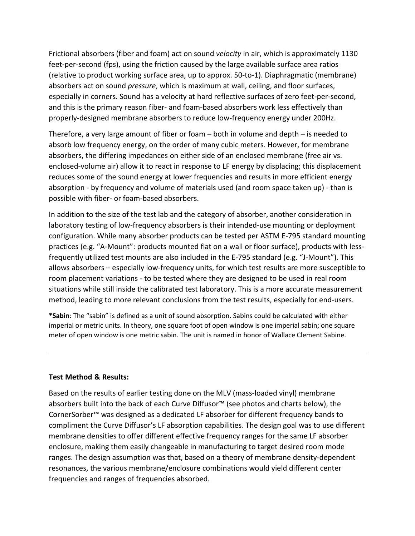Frictional absorbers (fiber and foam) act on sound *velocity* in air, which is approximately 1130 feet-per-second (fps), using the friction caused by the large available surface area ratios (relative to product working surface area, up to approx. 50-to-1). Diaphragmatic (membrane) absorbers act on sound *pressure*, which is maximum at wall, ceiling, and floor surfaces, especially in corners. Sound has a velocity at hard reflective surfaces of zero feet-per-second, and this is the primary reason fiber- and foam-based absorbers work less effectively than properly-designed membrane absorbers to reduce low-frequency energy under 200Hz.

Therefore, a very large amount of fiber or foam – both in volume and depth – is needed to absorb low frequency energy, on the order of many cubic meters. However, for membrane absorbers, the differing impedances on either side of an enclosed membrane (free air vs. enclosed-volume air) allow it to react in response to LF energy by displacing; this displacement reduces some of the sound energy at lower frequencies and results in more efficient energy absorption - by frequency and volume of materials used (and room space taken up) - than is possible with fiber- or foam-based absorbers.

In addition to the size of the test lab and the category of absorber, another consideration in laboratory testing of low-frequency absorbers is their intended-use mounting or deployment configuration. While many absorber products can be tested per ASTM E-795 standard mounting practices (e.g. "A-Mount": products mounted flat on a wall or floor surface), products with lessfrequently utilized test mounts are also included in the E-795 standard (e.g. "J-Mount"). This allows absorbers – especially low-frequency units, for which test results are more susceptible to room placement variations - to be tested where they are designed to be used in real room situations while still inside the calibrated test laboratory. This is a more accurate measurement method, leading to more relevant conclusions from the test results, especially for end-users.

**\*Sabin**: The "sabin" is defined as a unit of sound absorption. Sabins could be calculated with either imperial or metric units. In theory, one square foot of open window is one imperial sabin; one square meter of open window is one metric sabin. The unit is named in honor of Wallace Clement Sabine.

### **Test Method & Results:**

Based on the results of earlier testing done on the MLV (mass-loaded vinyl) membrane absorbers built into the back of each Curve Diffusor™ (see photos and charts below), the CornerSorber™ was designed as a dedicated LF absorber for different frequency bands to compliment the Curve Diffusor's LF absorption capabilities. The design goal was to use different membrane densities to offer different effective frequency ranges for the same LF absorber enclosure, making them easily changeable in manufacturing to target desired room mode ranges. The design assumption was that, based on a theory of membrane density-dependent resonances, the various membrane/enclosure combinations would yield different center frequencies and ranges of frequencies absorbed.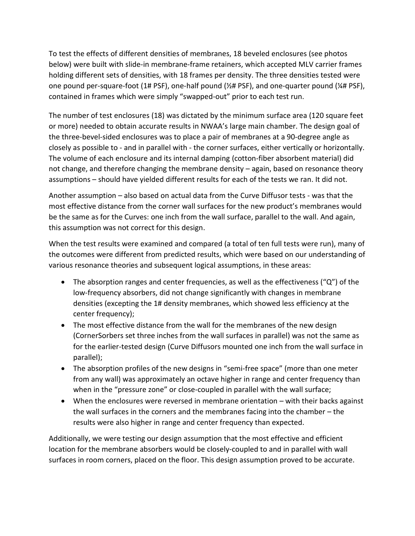To test the effects of different densities of membranes, 18 beveled enclosures (see photos below) were built with slide-in membrane-frame retainers, which accepted MLV carrier frames holding different sets of densities, with 18 frames per density. The three densities tested were one pound per-square-foot (1# PSF), one-half pound (½# PSF), and one-quarter pound (¼# PSF), contained in frames which were simply "swapped-out" prior to each test run.

The number of test enclosures (18) was dictated by the minimum surface area (120 square feet or more) needed to obtain accurate results in NWAA's large main chamber. The design goal of the three-bevel-sided enclosures was to place a pair of membranes at a 90-degree angle as closely as possible to - and in parallel with - the corner surfaces, either vertically or horizontally. The volume of each enclosure and its internal damping (cotton-fiber absorbent material) did not change, and therefore changing the membrane density – again, based on resonance theory assumptions – should have yielded different results for each of the tests we ran. It did not.

Another assumption – also based on actual data from the Curve Diffusor tests - was that the most effective distance from the corner wall surfaces for the new product's membranes would be the same as for the Curves: one inch from the wall surface, parallel to the wall. And again, this assumption was not correct for this design.

When the test results were examined and compared (a total of ten full tests were run), many of the outcomes were different from predicted results, which were based on our understanding of various resonance theories and subsequent logical assumptions, in these areas:

- The absorption ranges and center frequencies, as well as the effectiveness ( $\degree$ Q $\degree$ ) of the low-frequency absorbers, did not change significantly with changes in membrane densities (excepting the 1# density membranes, which showed less efficiency at the center frequency);
- The most effective distance from the wall for the membranes of the new design (CornerSorbers set three inches from the wall surfaces in parallel) was not the same as for the earlier-tested design (Curve Diffusors mounted one inch from the wall surface in parallel);
- The absorption profiles of the new designs in "semi-free space" (more than one meter from any wall) was approximately an octave higher in range and center frequency than when in the "pressure zone" or close-coupled in parallel with the wall surface;
- When the enclosures were reversed in membrane orientation with their backs against the wall surfaces in the corners and the membranes facing into the chamber – the results were also higher in range and center frequency than expected.

Additionally, we were testing our design assumption that the most effective and efficient location for the membrane absorbers would be closely-coupled to and in parallel with wall surfaces in room corners, placed on the floor. This design assumption proved to be accurate.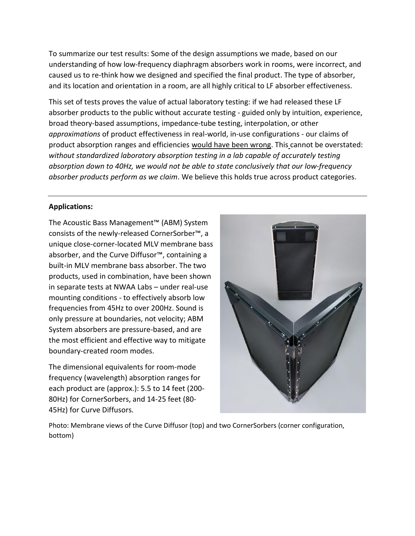To summarize our test results: Some of the design assumptions we made, based on our understanding of how low-frequency diaphragm absorbers work in rooms, were incorrect, and caused us to re-think how we designed and specified the final product. The type of absorber, and its location and orientation in a room, are all highly critical to LF absorber effectiveness.

This set of tests proves the value of actual laboratory testing: if we had released these LF absorber products to the public without accurate testing - guided only by intuition, experience, broad theory-based assumptions, impedance-tube testing, interpolation, or other *approximations* of product effectiveness in real-world, in-use configurations - our claims of product absorption ranges and efficiencies would have been wrong. This cannot be overstated: *without standardized laboratory absorption testing in a lab capable of accurately testing absorption down to 40Hz, we would not be able to state conclusively that our low-frequency absorber products perform as we claim*. We believe this holds true across product categories.

# **Applications:**

The Acoustic Bass Management™ (ABM) System consists of the newly-released CornerSorber™, a unique close-corner-located MLV membrane bass absorber, and the Curve Diffusor™, containing a built-in MLV membrane bass absorber. The two products, used in combination, have been shown in separate tests at NWAA Labs – under real-use mounting conditions - to effectively absorb low frequencies from 45Hz to over 200Hz. Sound is only pressure at boundaries, not velocity; ABM System absorbers are pressure-based, and are the most efficient and effective way to mitigate boundary-created room modes.

The dimensional equivalents for room-mode frequency (wavelength) absorption ranges for each product are (approx.): 5.5 to 14 feet (200- 80Hz) for CornerSorbers, and 14-25 feet (80- 45Hz) for Curve Diffusors.



Photo: Membrane views of the Curve Diffusor (top) and two CornerSorbers (corner configuration, bottom)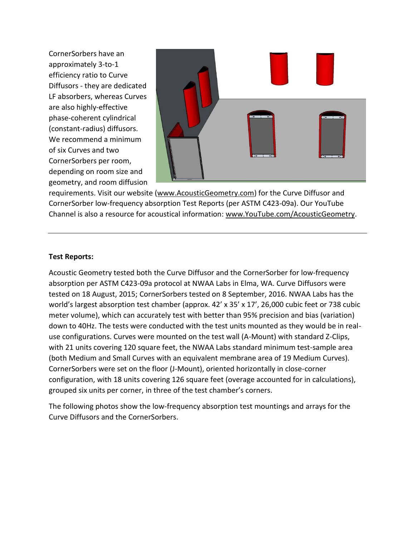CornerSorbers have an approximately 3-to-1 efficiency ratio to Curve Diffusors - they are dedicated LF absorbers, whereas Curves are also highly-effective phase-coherent cylindrical (constant-radius) diffusors. We recommend a minimum of six Curves and two CornerSorbers per room, depending on room size and geometry, and room diffusion



requirements. Visit our website [\(www.AcousticGeometry.com\)](http://www.acousticgeometry.com/) for the Curve Diffusor and CornerSorber low-frequency absorption Test Reports (per ASTM C423-09a). Our YouTube Channel is also a resource for acoustical information: [www.YouTube.com/AcousticGeometry.](http://www.youtube.com/AcousticGeometry)

### **Test Reports:**

Acoustic Geometry tested both the Curve Diffusor and the CornerSorber for low-frequency absorption per ASTM C423-09a protocol at NWAA Labs in Elma, WA. Curve Diffusors were tested on 18 August, 2015; CornerSorbers tested on 8 September, 2016. NWAA Labs has the world's largest absorption test chamber (approx. 42' x 35' x 17', 26,000 cubic feet or 738 cubic meter volume), which can accurately test with better than 95% precision and bias (variation) down to 40Hz. The tests were conducted with the test units mounted as they would be in realuse configurations. Curves were mounted on the test wall (A-Mount) with standard Z-Clips, with 21 units covering 120 square feet, the NWAA Labs standard minimum test-sample area (both Medium and Small Curves with an equivalent membrane area of 19 Medium Curves). CornerSorbers were set on the floor (J-Mount), oriented horizontally in close-corner configuration, with 18 units covering 126 square feet (overage accounted for in calculations), grouped six units per corner, in three of the test chamber's corners.

The following photos show the low-frequency absorption test mountings and arrays for the Curve Diffusors and the CornerSorbers.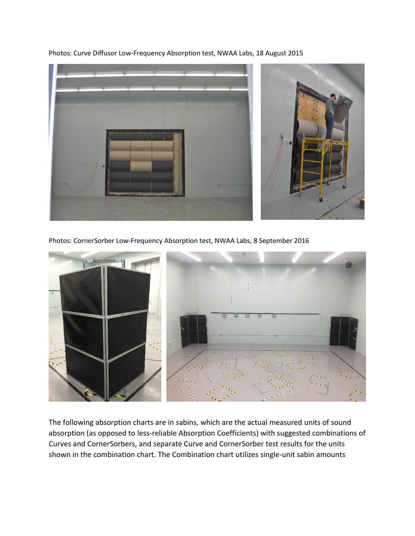Photos: Curve Diffusor Low-Frequency Absorption test, NWAA Labs, 18 August 2015



Photos: CornerSorber Low-Frequency Absorption test, NWAA Labs, 8 September 2016



The following absorption charts are in sabins, which are the actual measured units of sound absorption (as opposed to less-reliable Absorption Coefficients) with suggested combinations of Curves and CornerSorbers, and separate Curve and CornerSorber test results for the units shown in the combination chart. The Combination chart utilizes single-unit sabin amounts